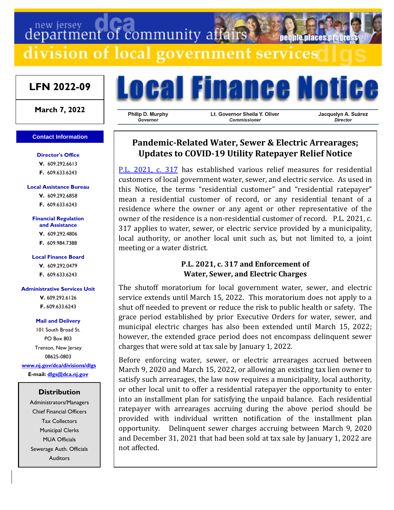# department of community affairs neonie niaces nrot division of local government services

# **LFN 2022-09**

**March 7, 2022**

#### **Contact Information**

**Director's Office V.** 609.292.6613 **F.** 609.633.6243

#### **Local Assistance Bureau**

**V.** 609.292.6858 **F.** 609.633.6243

#### **Financial Regulation and Assistance**

**V.** 609.292.4806

**F.** 609.984.7388

#### **Local Finance Board**

**V.** 609.292.0479

**F.** 609.633.6243

#### **Administrative Services Unit**

**V.** 609.292.6126 **F.** 609.633.6243

#### **Mail and Delivery**

101 South Broad St. PO Box 803 Trenton, New Jersey 08625-0803 **[www.nj.gov/dca/divisions/dlgs](http://www.nj.gov/dca/divisions/dlgs)**

**E-mail: [dlgs@dca.nj.gov](mailto:dlgs@dca.nj.gov)**

#### **Distribution**

Administrators/Managers Chief Financial Officers Tax Collectors Municipal Clerks MUA Officials Sewerage Auth. Officials Auditors



Philip D. Murphy Governor

Lt. Governor Sheila Y. Oliver Commissioner

Jacquelyn A. Suárez Director

# **Pandemic-Related Water, Sewer & Electric Arrearages; Updates to COVID-19 Utility Ratepayer Relief Notice**

[P.L. 2021, c.](https://www.njleg.state.nj.us/Bills/2020/AL21/317_.PDF) 317 has established various relief measures for residential customers of local government water, sewer, and electric service. As used in this Notice, the terms "residential customer" and "residential ratepayer" mean a residential customer of record, or any residential tenant of a residence where the owner or any agent or other representative of the owner of the residence is a non-residential customer of record. P.L. 2021, c. 317 applies to water, sewer, or electric service provided by a municipality, local authority, or another local unit such as, but not limited to, a joint meeting or a water district.

### **P.L. 2021, c. 317 and Enforcement of Water, Sewer, and Electric Charges**

The shutoff moratorium for local government water, sewer, and electric service extends until March 15, 2022. This moratorium does not apply to a shut off needed to prevent or reduce the risk to public health or safety. The grace period established by prior Executive Orders for water, sewer, and municipal electric charges has also been extended until March 15, 2022; however, the extended grace period does not encompass delinquent sewer charges that were sold at tax sale by January 1, 2022.

Before enforcing water, sewer, or electric arrearages accrued between March 9, 2020 and March 15, 2022, or allowing an existing tax lien owner to satisfy such arrearages, the law now requires a municipality, local authority, or other local unit to offer a residential ratepayer the opportunity to enter into an installment plan for satisfying the unpaid balance. Each residential ratepayer with arrearages accruing during the above period should be provided with individual written notification of the installment plan opportunity. Delinquent sewer charges accruing between March 9, 2020 and December 31, 2021 that had been sold at tax sale by January 1, 2022 are not affected.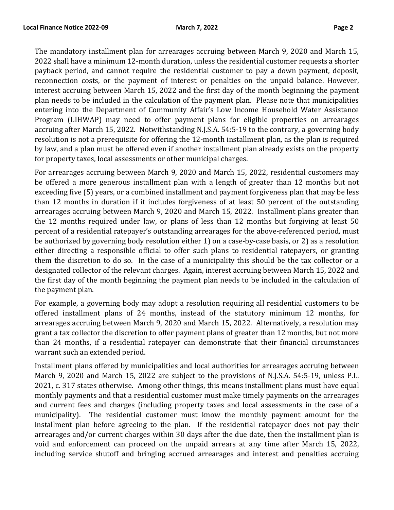The mandatory installment plan for arrearages accruing between March 9, 2020 and March 15, 2022 shall have a minimum 12-month duration, unless the residential customer requests a shorter payback period, and cannot require the residential customer to pay a down payment, deposit, reconnection costs, or the payment of interest or penalties on the unpaid balance. However, interest accruing between March 15, 2022 and the first day of the month beginning the payment plan needs to be included in the calculation of the payment plan. Please note that municipalities entering into the Department of Community Affair's Low Income Household Water Assistance Program (LIHWAP) may need to offer payment plans for eligible properties on arrearages accruing after March 15, 2022. Notwithstanding N.J.S.A. 54:5-19 to the contrary, a governing body resolution is not a prerequisite for offering the 12-month installment plan, as the plan is required by law, and a plan must be offered even if another installment plan already exists on the property for property taxes, local assessments or other municipal charges.

For arrearages accruing between March 9, 2020 and March 15, 2022, residential customers may be offered a more generous installment plan with a length of greater than 12 months but not exceeding five (5) years, or a combined installment and payment forgiveness plan that may be less than 12 months in duration if it includes forgiveness of at least 50 percent of the outstanding arrearages accruing between March 9, 2020 and March 15, 2022. Installment plans greater than the 12 months required under law, or plans of less than 12 months but forgiving at least 50 percent of a residential ratepayer's outstanding arrearages for the above-referenced period, must be authorized by governing body resolution either 1) on a case-by-case basis, or 2) as a resolution either directing a responsible official to offer such plans to residential ratepayers, or granting them the discretion to do so. In the case of a municipality this should be the tax collector or a designated collector of the relevant charges. Again, interest accruing between March 15, 2022 and the first day of the month beginning the payment plan needs to be included in the calculation of the payment plan.

For example, a governing body may adopt a resolution requiring all residential customers to be offered installment plans of 24 months, instead of the statutory minimum 12 months, for arrearages accruing between March 9, 2020 and March 15, 2022. Alternatively, a resolution may grant a tax collector the discretion to offer payment plans of greater than 12 months, but not more than 24 months, if a residential ratepayer can demonstrate that their financial circumstances warrant such an extended period.

Installment plans offered by municipalities and local authorities for arrearages accruing between March 9, 2020 and March 15, 2022 are subject to the provisions of N.J.S.A. 54:5-19, unless P.L. 2021, c. 317 states otherwise. Among other things, this means installment plans must have equal monthly payments and that a residential customer must make timely payments on the arrearages and current fees and charges (including property taxes and local assessments in the case of a municipality). The residential customer must know the monthly payment amount for the installment plan before agreeing to the plan. If the residential ratepayer does not pay their arrearages and/or current charges within 30 days after the due date, then the installment plan is void and enforcement can proceed on the unpaid arrears at any time after March 15, 2022, including service shutoff and bringing accrued arrearages and interest and penalties accruing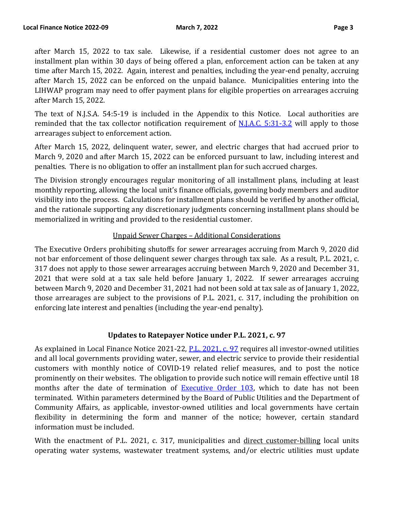after March 15, 2022 to tax sale. Likewise, if a residential customer does not agree to an installment plan within 30 days of being offered a plan, enforcement action can be taken at any time after March 15, 2022. Again, interest and penalties, including the year-end penalty, accruing after March 15, 2022 can be enforced on the unpaid balance. Municipalities entering into the LIHWAP program may need to offer payment plans for eligible properties on arrearages accruing after March 15, 2022.

The text of N.J.S.A. 54:5-19 is included in the Appendix to this Notice. Local authorities are reminded that the tax collector notification requirement of **N.J.A.C. 5:31-3.2** will apply to those arrearages subject to enforcement action.

After March 15, 2022, delinquent water, sewer, and electric charges that had accrued prior to March 9, 2020 and after March 15, 2022 can be enforced pursuant to law, including interest and penalties. There is no obligation to offer an installment plan for such accrued charges.

The Division strongly encourages regular monitoring of all installment plans, including at least monthly reporting, allowing the local unit's finance officials, governing body members and auditor visibility into the process. Calculations for installment plans should be verified by another official, and the rationale supporting any discretionary judgments concerning installment plans should be memorialized in writing and provided to the residential customer.

### Unpaid Sewer Charges – Additional Considerations

The Executive Orders prohibiting shutoffs for sewer arrearages accruing from March 9, 2020 did not bar enforcement of those delinquent sewer charges through tax sale. As a result, P.L. 2021, c. 317 does not apply to those sewer arrearages accruing between March 9, 2020 and December 31, 2021 that were sold at a tax sale held before January 1, 2022. If sewer arrearages accruing between March 9, 2020 and December 31, 2021 had not been sold at tax sale as of January 1, 2022, those arrearages are subject to the provisions of P.L. 2021, c. 317, including the prohibition on enforcing late interest and penalties (including the year-end penalty).

### **Updates to Ratepayer Notice under P.L. 2021, c. 97**

As explained in Local Finance Notice 2021-22, [P.L. 2021, c.](https://www.njleg.state.nj.us/Bills/2020/PL21/97_.PDF) 97 requires all investor-owned utilities and all local governments providing water, sewer, and electric service to provide their residential customers with monthly notice of COVID-19 related relief measures, and to post the notice prominently on their websites. The obligation to provide such notice will remain effective until 18 months after the date of termination of **Executive Order 103**, which to date has not been terminated. Within parameters determined by the Board of Public Utilities and the Department of Community Affairs, as applicable, investor-owned utilities and local governments have certain flexibility in determining the form and manner of the notice; however, certain standard information must be included.

With the enactment of P.L. 2021, c. 317, municipalities and direct customer-billing local units operating water systems, wastewater treatment systems, and/or electric utilities must update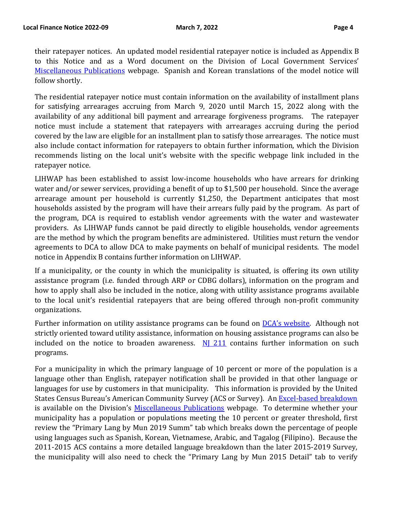their ratepayer notices. An updated model residential ratepayer notice is included as Appendix B to this Notice and as a Word document on the Division of Local Government Services' [Miscellaneous](https://www.nj.gov/dca/divisions/dlgs/resources/misc_publications.html) Publications webpage. Spanish and Korean translations of the model notice will follow shortly.

The residential ratepayer notice must contain information on the availability of installment plans for satisfying arrearages accruing from March 9, 2020 until March 15, 2022 along with the availability of any additional bill payment and arrearage forgiveness programs. The ratepayer notice must include a statement that ratepayers with arrearages accruing during the period covered by the law are eligible for an installment plan to satisfy those arrearages. The notice must also include contact information for ratepayers to obtain further information, which the Division recommends listing on the local unit's website with the specific webpage link included in the ratepayer notice.

LIHWAP has been established to assist low-income households who have arrears for drinking water and/or sewer services, providing a benefit of up to \$1,500 per household. Since the average arrearage amount per household is currently \$1,250, the Department anticipates that most households assisted by the program will have their arrears fully paid by the program. As part of the program, DCA is required to establish vendor agreements with the water and wastewater providers. As LIHWAP funds cannot be paid directly to eligible households, vendor agreements are the method by which the program benefits are administered. Utilities must return the vendor agreements to DCA to allow DCA to make payments on behalf of municipal residents. The model notice in Appendix B contains further information on LIHWAP.

If a municipality, or the county in which the municipality is situated, is offering its own utility assistance program (i.e. funded through ARP or CDBG dollars), information on the program and how to apply shall also be included in the notice, along with utility assistance programs available to the local unit's residential ratepayers that are being offered through non-profit community organizations.

Further information on utility assistance programs can be found on [DCA's website](https://nj.gov/dca/). Although not strictly oriented toward utility assistance, information on housing assistance programs can also be included on the notice to broaden awareness.  $NJ$  211 contains further information on such programs.

For a municipality in which the primary language of 10 percent or more of the population is a language other than English, ratepayer notification shall be provided in that other language or languages for use by customers in that municipality. This information is provided by the United States Census Bureau's American Community Survey (ACS or Survey). An [Excel-based](https://www.nj.gov/dca/divisions/dlgs/resources/misc_docs/11-2021%20Primary%20Language%20by%20Municipality%20Data%20-%20COVID%20Ratepayer%20Notice.xlsx) breakdown is available on the Division's [Miscellaneous Publications](https://www.nj.gov/dca/divisions/dlgs/resources/misc_publications.html) webpage. To determine whether your municipality has a population or populations meeting the 10 percent or greater threshold, first review the "Primary Lang by Mun 2019 Summ" tab which breaks down the percentage of people using languages such as Spanish, Korean, Vietnamese, Arabic, and Tagalog (Filipino). Because the 2011-2015 ACS contains a more detailed language breakdown than the later 2015-2019 Survey, the municipality will also need to check the "Primary Lang by Mun 2015 Detail" tab to verify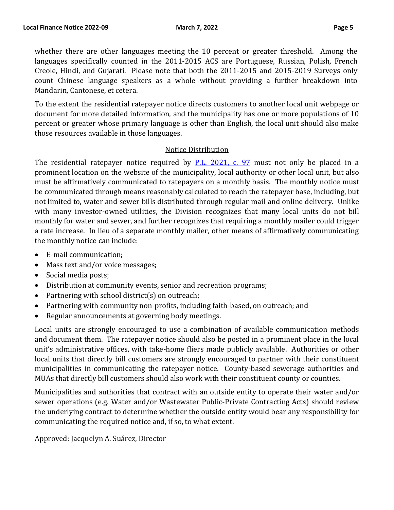whether there are other languages meeting the 10 percent or greater threshold. Among the languages specifically counted in the 2011-2015 ACS are Portuguese, Russian, Polish, French Creole, Hindi, and Gujarati. Please note that both the 2011-2015 and 2015-2019 Surveys only count Chinese language speakers as a whole without providing a further breakdown into Mandarin, Cantonese, et cetera.

To the extent the residential ratepayer notice directs customers to another local unit webpage or document for more detailed information, and the municipality has one or more populations of 10 percent or greater whose primary language is other than English, the local unit should also make those resources available in those languages.

### Notice Distribution

The residential ratepayer notice required by **[P.L. 2021, c. 97](https://www.njleg.state.nj.us/2020/Bills/PL21/97_.PDF)** must not only be placed in a prominent location on the website of the municipality, local authority or other local unit, but also must be affirmatively communicated to ratepayers on a monthly basis. The monthly notice must be communicated through means reasonably calculated to reach the ratepayer base, including, but not limited to, water and sewer bills distributed through regular mail and online delivery. Unlike with many investor-owned utilities, the Division recognizes that many local units do not bill monthly for water and sewer, and further recognizes that requiring a monthly mailer could trigger a rate increase. In lieu of a separate monthly mailer, other means of affirmatively communicating the monthly notice can include:

- E-mail communication;
- Mass text and/or voice messages;
- Social media posts;
- Distribution at community events, senior and recreation programs;
- Partnering with school district(s) on outreach;
- Partnering with community non-profits, including faith-based, on outreach; and
- Regular announcements at governing body meetings.

Local units are strongly encouraged to use a combination of available communication methods and document them. The ratepayer notice should also be posted in a prominent place in the local unit's administrative offices, with take-home fliers made publicly available. Authorities or other local units that directly bill customers are strongly encouraged to partner with their constituent municipalities in communicating the ratepayer notice. County-based sewerage authorities and MUAs that directly bill customers should also work with their constituent county or counties.

Municipalities and authorities that contract with an outside entity to operate their water and/or sewer operations (e.g. Water and/or Wastewater Public-Private Contracting Acts) should review the underlying contract to determine whether the outside entity would bear any responsibility for communicating the required notice and, if so, to what extent.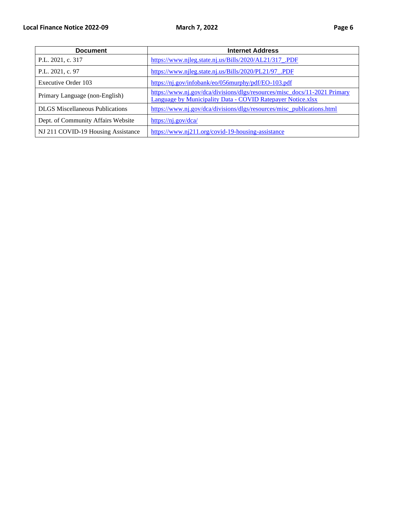| <b>Document</b>                        | <b>Internet Address</b>                                                                                                                         |
|----------------------------------------|-------------------------------------------------------------------------------------------------------------------------------------------------|
| P.L. 2021, c. 317                      | https://www.njleg.state.nj.us/Bills/2020/AL21/317.PDF                                                                                           |
| P.L. 2021, c. 97                       | https://www.njleg.state.nj.us/Bills/2020/PL21/97_PDF                                                                                            |
| Executive Order 103                    | https://nj.gov/infobank/eo/056murphy/pdf/EO-103.pdf                                                                                             |
| Primary Language (non-English)         | https://www.nj.gov/dca/divisions/dlgs/resources/misc_docs/11-2021 Primary<br><b>Language by Municipality Data - COVID Ratepayer Notice.xlsx</b> |
| <b>DLGS</b> Miscellaneous Publications | https://www.nj.gov/dca/divisions/dlgs/resources/misc_publications.html                                                                          |
| Dept. of Community Affairs Website     | $\frac{https://nj.gov/dca/}{$                                                                                                                   |
| NJ 211 COVID-19 Housing Assistance     | https://www.nj211.org/covid-19-housing-assistance                                                                                               |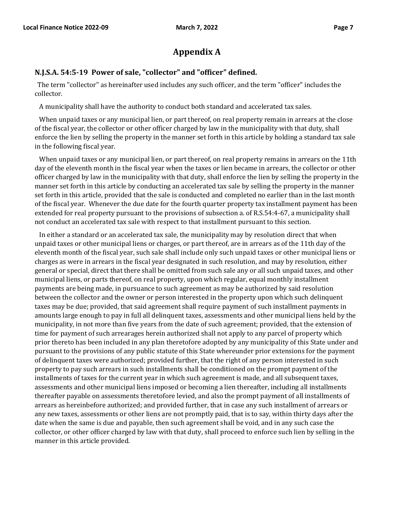# **Appendix A**

#### **N.J.S.A. 54:5-19 Power of sale, "collector" and "officer" defined.**

The term "collector" as hereinafter used includes any such officer, and the term "officer" includes the collector.

A municipality shall have the authority to conduct both standard and accelerated tax sales.

 When unpaid taxes or any municipal lien, or part thereof, on real property remain in arrears at the close of the fiscal year, the collector or other officer charged by law in the municipality with that duty, shall enforce the lien by selling the property in the manner set forth in this article by holding a standard tax sale in the following fiscal year.

When unpaid taxes or any municipal lien, or part thereof, on real property remains in arrears on the 11th day of the eleventh month in the fiscal year when the taxes or lien became in arrears, the collector or other officer charged by law in the municipality with that duty, shall enforce the lien by selling the property in the manner set forth in this article by conducting an accelerated tax sale by selling the property in the manner set forth in this article, provided that the sale is conducted and completed no earlier than in the last month of the fiscal year. Whenever the due date for the fourth quarter property tax installment payment has been extended for real property pursuant to the provisions of subsection a. of R.S.54:4-67, a municipality shall not conduct an accelerated tax sale with respect to that installment pursuant to this section.

 In either a standard or an accelerated tax sale, the municipality may by resolution direct that when unpaid taxes or other municipal liens or charges, or part thereof, are in arrears as of the 11th day of the eleventh month of the fiscal year, such sale shall include only such unpaid taxes or other municipal liens or charges as were in arrears in the fiscal year designated in such resolution, and may by resolution, either general or special, direct that there shall be omitted from such sale any or all such unpaid taxes, and other municipal liens, or parts thereof, on real property, upon which regular, equal monthly installment payments are being made, in pursuance to such agreement as may be authorized by said resolution between the collector and the owner or person interested in the property upon which such delinquent taxes may be due; provided, that said agreement shall require payment of such installment payments in amounts large enough to pay in full all delinquent taxes, assessments and other municipal liens held by the municipality, in not more than five years from the date of such agreement; provided, that the extension of time for payment of such arrearages herein authorized shall not apply to any parcel of property which prior thereto has been included in any plan theretofore adopted by any municipality of this State under and pursuant to the provisions of any public statute of this State whereunder prior extensions for the payment of delinquent taxes were authorized; provided further, that the right of any person interested in such property to pay such arrears in such installments shall be conditioned on the prompt payment of the installments of taxes for the current year in which such agreement is made, and all subsequent taxes, assessments and other municipal liens imposed or becoming a lien thereafter, including all installments thereafter payable on assessments theretofore levied, and also the prompt payment of all installments of arrears as hereinbefore authorized; and provided further, that in case any such installment of arrears or any new taxes, assessments or other liens are not promptly paid, that is to say, within thirty days after the date when the same is due and payable, then such agreement shall be void, and in any such case the collector, or other officer charged by law with that duty, shall proceed to enforce such lien by selling in the manner in this article provided.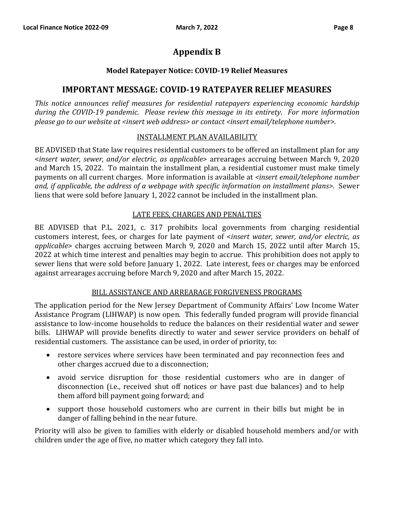# **Appendix B**

### **Model Ratepayer Notice: COVID-19 Relief Measures**

## **IMPORTANT MESSAGE: COVID-19 RATEPAYER RELIEF MEASURES**

*This notice announces relief measures for residential ratepayers experiencing economic hardship during the COVID-19 pandemic. Please review this message in its entirety. For more information please go to our website at <insert web address> or contact <insert email/telephone number>*.

#### INSTALLMENT PLAN AVAILABILITY

BE ADVISED that State law requires residential customers to be offered an installment plan for any <*insert water, sewer, and/or electric, as applicable*> arrearages accruing between March 9, 2020 and March 15, 2022. To maintain the installment plan, a residential customer must make timely payments on all current charges. More information is available at *<insert email/telephone number and, if applicable, the address of a webpage with specific information on installment plans>*. Sewer liens that were sold before January 1, 2022 cannot be included in the installment plan.

### LATE FEES, CHARGES AND PENALTIES

BE ADVISED that P.L. 2021, c. 317 prohibits local governments from charging residential customers interest, fees, or charges for late payment of <*insert water, sewer, and/or electric, as applicable*> charges accruing between March 9, 2020 and March 15, 2022 until after March 15, 2022 at which time interest and penalties may begin to accrue. This prohibition does not apply to sewer liens that were sold before January 1, 2022. Late interest, fees or charges may be enforced against arrearages accruing before March 9, 2020 and after March 15, 2022.

#### BILL ASSISTANCE AND ARREARAGE FORGIVENESS PROGRAMS

The application period for the New Jersey Department of Community Affairs' Low Income Water Assistance Program (LIHWAP) is now open. This federally funded program will provide financial assistance to low-income households to reduce the balances on their residential water and sewer bills. LIHWAP will provide benefits directly to water and sewer service providers on behalf of residential customers. The assistance can be used, in order of priority, to:

- restore services where services have been terminated and pay reconnection fees and other charges accrued due to a disconnection;
- avoid service disruption for those residential customers who are in danger of disconnection (i.e., received shut off notices or have past due balances) and to help them afford bill payment going forward; and
- support those household customers who are current in their bills but might be in danger of falling behind in the near future.

Priority will also be given to families with elderly or disabled household members and/or with children under the age of five, no matter which category they fall into.